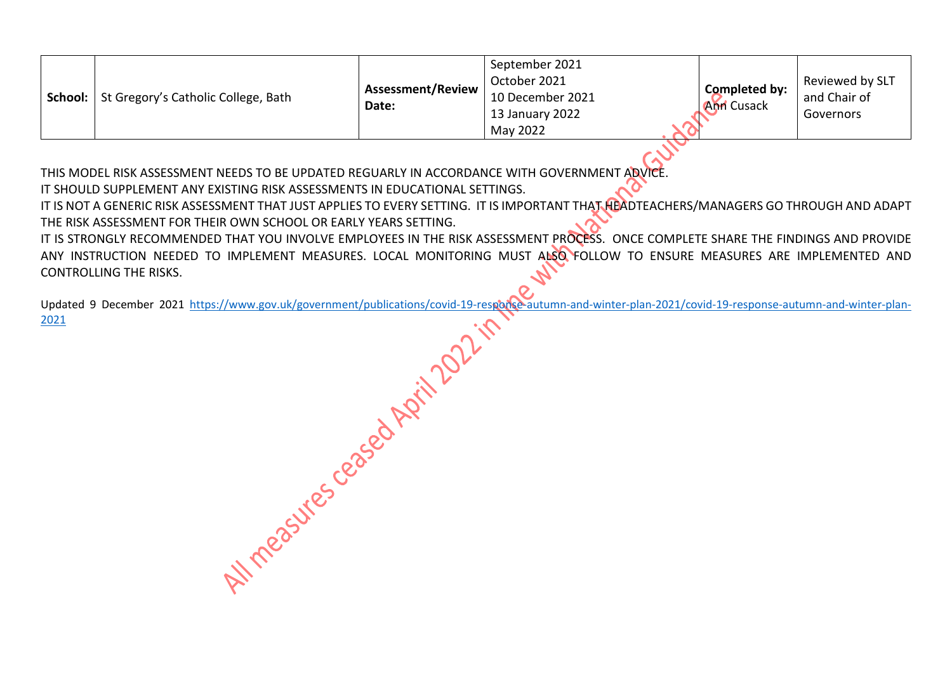| School: | St Gregory's Catholic College, Bath | <b>Assessment/Review</b><br>Date: | September 2021<br>October 2021<br>10 December 2021<br>13 January 2022<br>May 2022 | Completed by:<br><b>Ann</b> Cusack | Reviewed by SLT<br>and Chair of<br>Governors |
|---------|-------------------------------------|-----------------------------------|-----------------------------------------------------------------------------------|------------------------------------|----------------------------------------------|
|---------|-------------------------------------|-----------------------------------|-----------------------------------------------------------------------------------|------------------------------------|----------------------------------------------|

THIS MODEL RISK ASSESSMENT NEEDS TO BE UPDATED REGUARLY IN ACCORDANCE WITH GOVERNMENT ADVICE.

IT SHOULD SUPPLEMENT ANY EXISTING RISK ASSESSMENTS IN EDUCATIONAL SETTINGS.

IT IS NOT A GENERIC RISK ASSESSMENT THAT JUST APPLIES TO EVERY SETTING. IT IS IMPORTANT THAT HEADTEACHERS/MANAGERS GO THROUGH AND ADAPT THE RISK ASSESSMENT FOR THEIR OWN SCHOOL OR EARLY YEARS SETTING.

IT IS STRONGLY RECOMMENDED THAT YOU INVOLVE EMPLOYEES IN THE RISK ASSESSMENT PROCESS. ONCE COMPLETE SHARE THE FINDINGS AND PROVIDE ANY INSTRUCTION NEEDED TO IMPLEMENT MEASURES. LOCAL MONITORING MUST ALSO FOLLOW TO ENSURE MEASURES ARE IMPLEMENTED AND CONTROLLING THE RISKS.

Q Updated 9 December 2021 [https://www.gov.uk/government/publications/covid-19-response-autumn-and-winter-plan-2021/covid-19-response-autumn-and-winter-plan-](https://www.gov.uk/government/publications/covid-19-response-autumn-and-winter-plan-2021/covid-19-response-autumn-and-winter-plan-2021)[2021](https://www.gov.uk/government/publications/covid-19-response-autumn-and-winter-plan-2021/covid-19-response-autumn-and-winter-plan-2021)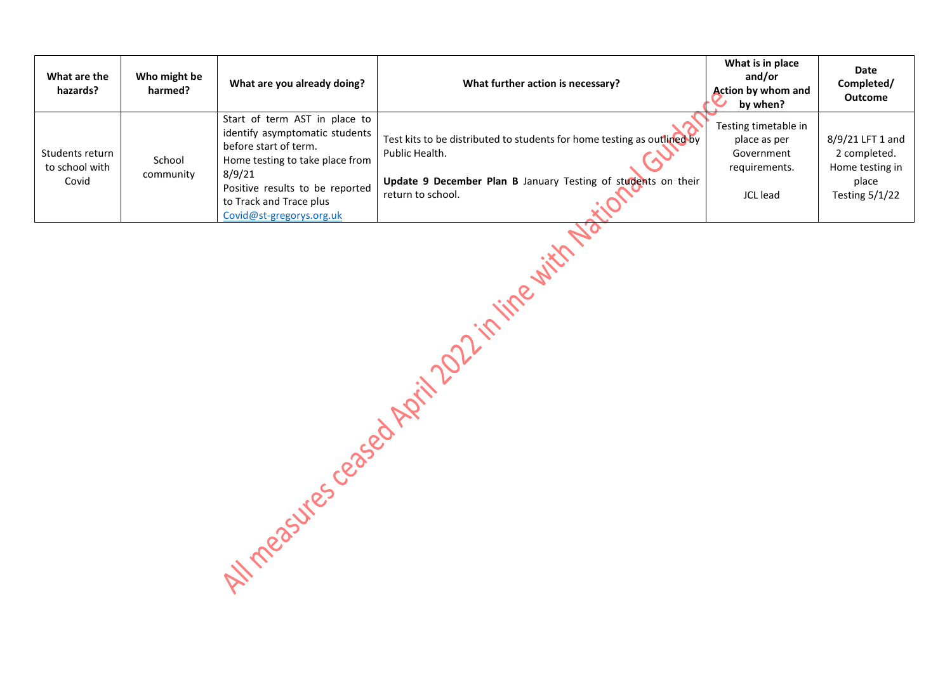| What are the<br>hazards?                   | Who might be<br>harmed? | What are you already doing?                                                                                                                                                                                                     | What further action is necessary?                                                                                                                                               | What is in place<br>and/or<br><b>Action by whom and</b><br>by when?             | Date<br>Completed/<br><b>Outcome</b>                                                  |
|--------------------------------------------|-------------------------|---------------------------------------------------------------------------------------------------------------------------------------------------------------------------------------------------------------------------------|---------------------------------------------------------------------------------------------------------------------------------------------------------------------------------|---------------------------------------------------------------------------------|---------------------------------------------------------------------------------------|
| Students return<br>to school with<br>Covid | School<br>community     | Start of term AST in place to<br>identify asymptomatic students<br>before start of term.<br>Home testing to take place from<br>8/9/21<br>Positive results to be reported<br>to Track and Trace plus<br>Covid@st-gregorys.org.uk | Test kits to be distributed to students for home testing as outlined by<br>Public Health.<br>Update 9 December Plan B January Testing of students on their<br>return to school. | Testing timetable in<br>place as per<br>Government<br>requirements.<br>JCL lead | 8/9/21 LFT 1 and<br>2 completed.<br>Home testing in<br>place<br><b>Testing 5/1/22</b> |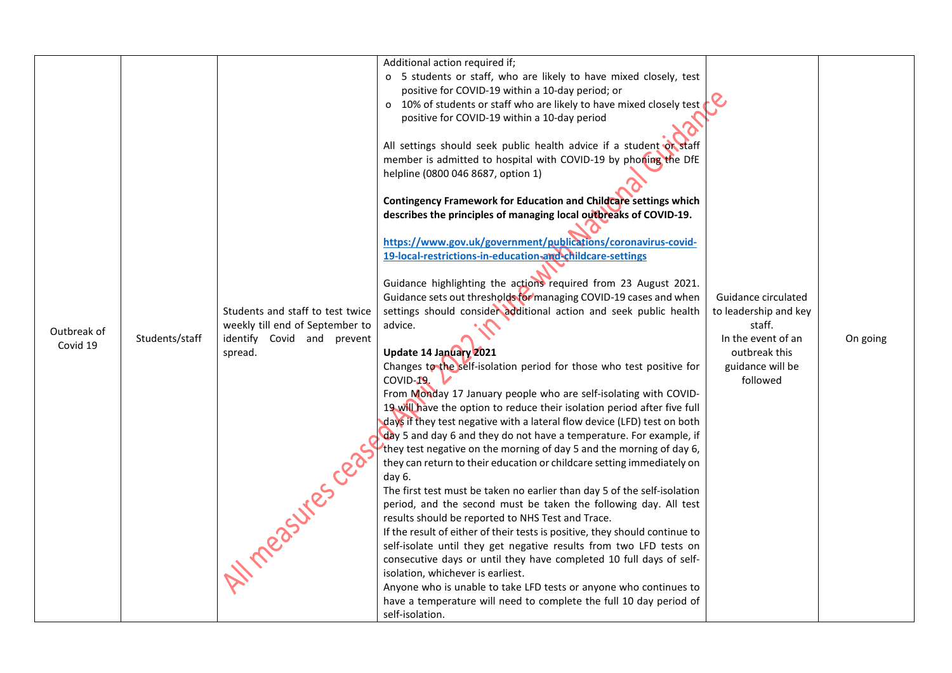|             |                |                                  | Additional action required if;                                                                                                                                                                                                                                                                                                                                                                                                                                                                                                                       |                       |          |
|-------------|----------------|----------------------------------|------------------------------------------------------------------------------------------------------------------------------------------------------------------------------------------------------------------------------------------------------------------------------------------------------------------------------------------------------------------------------------------------------------------------------------------------------------------------------------------------------------------------------------------------------|-----------------------|----------|
|             |                |                                  | o 5 students or staff, who are likely to have mixed closely, test                                                                                                                                                                                                                                                                                                                                                                                                                                                                                    |                       |          |
|             |                |                                  | positive for COVID-19 within a 10-day period; or                                                                                                                                                                                                                                                                                                                                                                                                                                                                                                     |                       |          |
|             |                |                                  | o 10% of students or staff who are likely to have mixed closely test                                                                                                                                                                                                                                                                                                                                                                                                                                                                                 |                       |          |
|             |                |                                  | positive for COVID-19 within a 10-day period                                                                                                                                                                                                                                                                                                                                                                                                                                                                                                         |                       |          |
|             |                |                                  |                                                                                                                                                                                                                                                                                                                                                                                                                                                                                                                                                      |                       |          |
|             |                |                                  |                                                                                                                                                                                                                                                                                                                                                                                                                                                                                                                                                      |                       |          |
|             |                |                                  | All settings should seek public health advice if a student or staff                                                                                                                                                                                                                                                                                                                                                                                                                                                                                  |                       |          |
|             |                |                                  | member is admitted to hospital with COVID-19 by phoning the DfE                                                                                                                                                                                                                                                                                                                                                                                                                                                                                      |                       |          |
|             |                |                                  | helpline (0800 046 8687, option 1)                                                                                                                                                                                                                                                                                                                                                                                                                                                                                                                   |                       |          |
|             |                |                                  |                                                                                                                                                                                                                                                                                                                                                                                                                                                                                                                                                      |                       |          |
|             |                |                                  | Contingency Framework for Education and Childcare settings which                                                                                                                                                                                                                                                                                                                                                                                                                                                                                     |                       |          |
|             |                |                                  | describes the principles of managing local outbreaks of COVID-19.                                                                                                                                                                                                                                                                                                                                                                                                                                                                                    |                       |          |
|             |                |                                  |                                                                                                                                                                                                                                                                                                                                                                                                                                                                                                                                                      |                       |          |
|             |                |                                  | https://www.gov.uk/government/publications/coronavirus-covid-                                                                                                                                                                                                                                                                                                                                                                                                                                                                                        |                       |          |
|             |                |                                  | 19-local-restrictions-in-education-and-childcare-settings                                                                                                                                                                                                                                                                                                                                                                                                                                                                                            |                       |          |
|             |                |                                  |                                                                                                                                                                                                                                                                                                                                                                                                                                                                                                                                                      |                       |          |
|             |                |                                  | Guidance highlighting the actions required from 23 August 2021.                                                                                                                                                                                                                                                                                                                                                                                                                                                                                      |                       |          |
|             |                |                                  | Guidance sets out thresholds for managing COVID-19 cases and when                                                                                                                                                                                                                                                                                                                                                                                                                                                                                    | Guidance circulated   |          |
|             |                | Students and staff to test twice | settings should consider additional action and seek public health                                                                                                                                                                                                                                                                                                                                                                                                                                                                                    | to leadership and key |          |
| Outbreak of |                | weekly till end of September to  | advice.                                                                                                                                                                                                                                                                                                                                                                                                                                                                                                                                              | staff.                |          |
| Covid 19    | Students/staff | identify Covid and prevent       |                                                                                                                                                                                                                                                                                                                                                                                                                                                                                                                                                      | In the event of an    | On going |
|             |                | spread.                          | Update 14 January 2021                                                                                                                                                                                                                                                                                                                                                                                                                                                                                                                               | outbreak this         |          |
|             |                |                                  | Changes to the self-isolation period for those who test positive for                                                                                                                                                                                                                                                                                                                                                                                                                                                                                 | guidance will be      |          |
|             |                |                                  | COVID-19                                                                                                                                                                                                                                                                                                                                                                                                                                                                                                                                             | followed              |          |
|             |                |                                  | From Monday 17 January people who are self-isolating with COVID-                                                                                                                                                                                                                                                                                                                                                                                                                                                                                     |                       |          |
|             |                |                                  | 19 will have the option to reduce their isolation period after five full                                                                                                                                                                                                                                                                                                                                                                                                                                                                             |                       |          |
|             |                |                                  | days if they test negative with a lateral flow device (LFD) test on both                                                                                                                                                                                                                                                                                                                                                                                                                                                                             |                       |          |
|             |                |                                  | day 5 and day 6 and they do not have a temperature. For example, if                                                                                                                                                                                                                                                                                                                                                                                                                                                                                  |                       |          |
|             |                |                                  | they test negative on the morning of day 5 and the morning of day 6,                                                                                                                                                                                                                                                                                                                                                                                                                                                                                 |                       |          |
|             |                |                                  | they can return to their education or childcare setting immediately on                                                                                                                                                                                                                                                                                                                                                                                                                                                                               |                       |          |
|             |                |                                  | day 6.                                                                                                                                                                                                                                                                                                                                                                                                                                                                                                                                               |                       |          |
|             |                |                                  | The first test must be taken no earlier than day 5 of the self-isolation                                                                                                                                                                                                                                                                                                                                                                                                                                                                             |                       |          |
|             |                |                                  |                                                                                                                                                                                                                                                                                                                                                                                                                                                                                                                                                      |                       |          |
|             |                |                                  |                                                                                                                                                                                                                                                                                                                                                                                                                                                                                                                                                      |                       |          |
|             |                |                                  |                                                                                                                                                                                                                                                                                                                                                                                                                                                                                                                                                      |                       |          |
|             |                |                                  |                                                                                                                                                                                                                                                                                                                                                                                                                                                                                                                                                      |                       |          |
|             |                |                                  |                                                                                                                                                                                                                                                                                                                                                                                                                                                                                                                                                      |                       |          |
|             |                |                                  |                                                                                                                                                                                                                                                                                                                                                                                                                                                                                                                                                      |                       |          |
|             |                |                                  |                                                                                                                                                                                                                                                                                                                                                                                                                                                                                                                                                      |                       |          |
|             |                |                                  |                                                                                                                                                                                                                                                                                                                                                                                                                                                                                                                                                      |                       |          |
|             |                |                                  |                                                                                                                                                                                                                                                                                                                                                                                                                                                                                                                                                      |                       |          |
|             |                | 1 measures cen                   | period, and the second must be taken the following day. All test<br>results should be reported to NHS Test and Trace.<br>If the result of either of their tests is positive, they should continue to<br>self-isolate until they get negative results from two LFD tests on<br>consecutive days or until they have completed 10 full days of self-<br>isolation, whichever is earliest.<br>Anyone who is unable to take LFD tests or anyone who continues to<br>have a temperature will need to complete the full 10 day period of<br>self-isolation. |                       |          |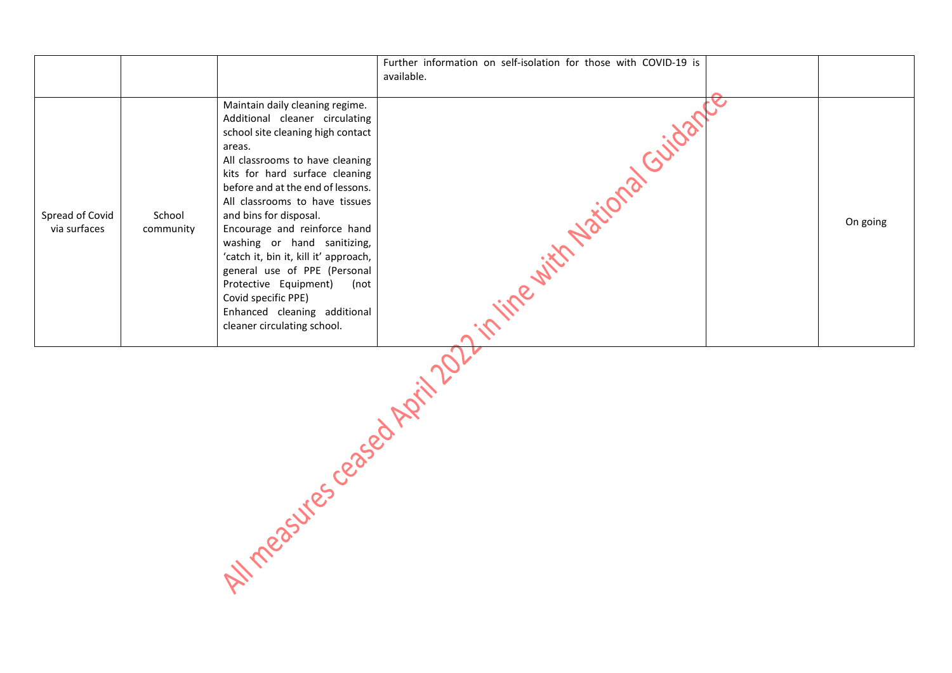|                                 |                     |                                                                                                                                                                                                                                                                                                                                                                                                                                                                                                                                                       | Further information on self-isolation for those with COVID-19 is<br>available. |          |
|---------------------------------|---------------------|-------------------------------------------------------------------------------------------------------------------------------------------------------------------------------------------------------------------------------------------------------------------------------------------------------------------------------------------------------------------------------------------------------------------------------------------------------------------------------------------------------------------------------------------------------|--------------------------------------------------------------------------------|----------|
| Spread of Covid<br>via surfaces | School<br>community | Maintain daily cleaning regime.<br>Additional cleaner circulating<br>school site cleaning high contact<br>areas.<br>All classrooms to have cleaning<br>kits for hard surface cleaning<br>before and at the end of lessons.<br>All classrooms to have tissues<br>and bins for disposal.<br>Encourage and reinforce hand<br>washing or hand sanitizing,<br>'catch it, bin it, kill it' approach,<br>general use of PPE (Personal<br>Protective Equipment)<br>(not<br>Covid specific PPE)<br>Enhanced cleaning additional<br>cleaner circulating school. | $\mathcal{S}$<br>in fine with National                                         | On going |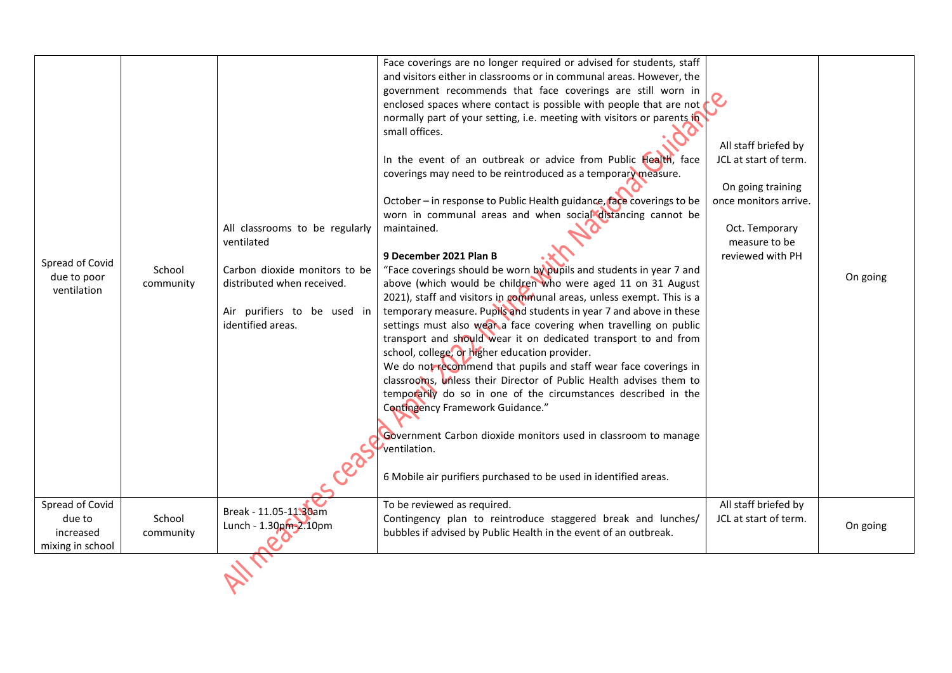| Spread of Covid<br>due to poor<br>ventilation              | School<br>community | All classrooms to be regularly<br>ventilated<br>Carbon dioxide monitors to be<br>distributed when received.<br>Air purifiers to be used in<br>identified areas. | Face coverings are no longer required or advised for students, staff<br>and visitors either in classrooms or in communal areas. However, the<br>government recommends that face coverings are still worn in<br>enclosed spaces where contact is possible with people that are not<br>normally part of your setting, i.e. meeting with visitors or parents in<br>small offices.<br>In the event of an outbreak or advice from Public Health, face<br>coverings may need to be reintroduced as a temporary measure.<br>October - in response to Public Health guidance, face coverings to be<br>worn in communal areas and when social distancing cannot be<br>maintained.<br>9 December 2021 Plan B<br>"Face coverings should be worn by pupils and students in year 7 and<br>above (which would be children who were aged 11 on 31 August<br>2021), staff and visitors in communal areas, unless exempt. This is a<br>temporary measure. Pupils and students in year 7 and above in these<br>settings must also weak a face covering when travelling on public<br>transport and should wear it on dedicated transport to and from<br>school, college, or higher education provider.<br>We do not recommend that pupils and staff wear face coverings in<br>classrooms, unless their Director of Public Health advises them to<br>temporarily do so in one of the circumstances described in the<br>Contingency Framework Guidance."<br>Government Carbon dioxide monitors used in classroom to manage<br>ventilation.<br>6 Mobile air purifiers purchased to be used in identified areas. | All staff briefed by<br>JCL at start of term.<br>On going training<br>once monitors arrive.<br>Oct. Temporary<br>measure to be<br>reviewed with PH | On going |
|------------------------------------------------------------|---------------------|-----------------------------------------------------------------------------------------------------------------------------------------------------------------|-------------------------------------------------------------------------------------------------------------------------------------------------------------------------------------------------------------------------------------------------------------------------------------------------------------------------------------------------------------------------------------------------------------------------------------------------------------------------------------------------------------------------------------------------------------------------------------------------------------------------------------------------------------------------------------------------------------------------------------------------------------------------------------------------------------------------------------------------------------------------------------------------------------------------------------------------------------------------------------------------------------------------------------------------------------------------------------------------------------------------------------------------------------------------------------------------------------------------------------------------------------------------------------------------------------------------------------------------------------------------------------------------------------------------------------------------------------------------------------------------------------------------------------------------------------------------------------------|----------------------------------------------------------------------------------------------------------------------------------------------------|----------|
| Spread of Covid<br>due to<br>increased<br>mixing in school | School<br>community | Break - 11.05-11.30am<br>Lunch - 1.30pm-2.10pm                                                                                                                  | To be reviewed as required.<br>Contingency plan to reintroduce staggered break and lunches/<br>bubbles if advised by Public Health in the event of an outbreak.                                                                                                                                                                                                                                                                                                                                                                                                                                                                                                                                                                                                                                                                                                                                                                                                                                                                                                                                                                                                                                                                                                                                                                                                                                                                                                                                                                                                                           | All staff briefed by<br>JCL at start of term.                                                                                                      | On going |
|                                                            |                     |                                                                                                                                                                 |                                                                                                                                                                                                                                                                                                                                                                                                                                                                                                                                                                                                                                                                                                                                                                                                                                                                                                                                                                                                                                                                                                                                                                                                                                                                                                                                                                                                                                                                                                                                                                                           |                                                                                                                                                    |          |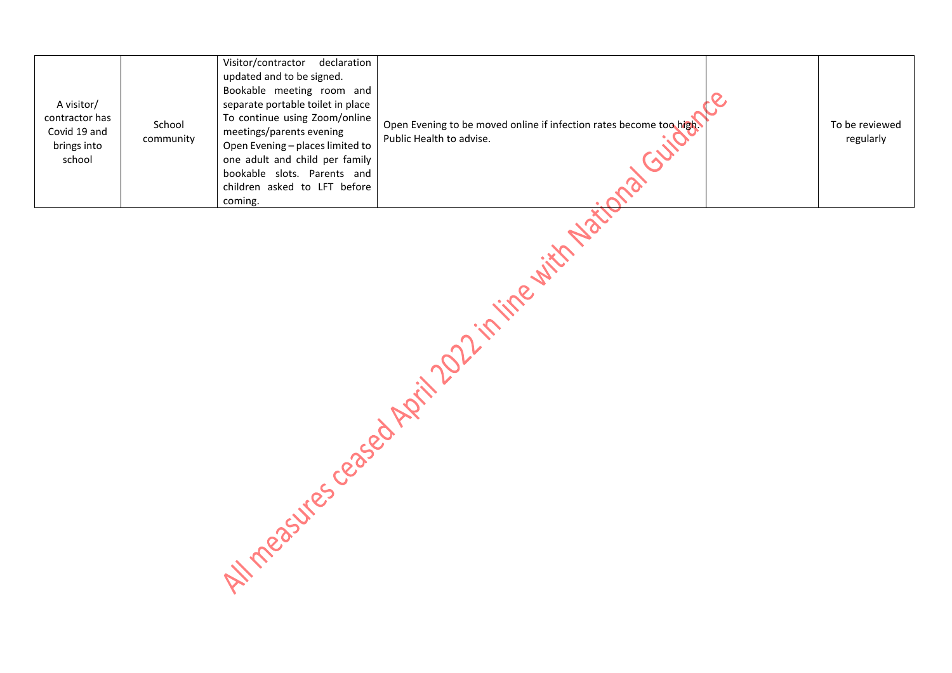| A visitor/<br>contractor has<br>Covid 19 and<br>brings into<br>school | School<br>community | Visitor/contractor declaration<br>updated and to be signed.<br>Bookable meeting room and<br>separate portable toilet in place<br>To continue using Zoom/online<br>meetings/parents evening<br>Open Evening - places limited to<br>one adult and child per family<br>bookable slots. Parents and<br>children asked to LFT before<br>coming. | Open Evening to be moved online if infection rates become too high<br>Public Health to advise. |  | To be reviewed<br>regularly |
|-----------------------------------------------------------------------|---------------------|--------------------------------------------------------------------------------------------------------------------------------------------------------------------------------------------------------------------------------------------------------------------------------------------------------------------------------------------|------------------------------------------------------------------------------------------------|--|-----------------------------|
|-----------------------------------------------------------------------|---------------------|--------------------------------------------------------------------------------------------------------------------------------------------------------------------------------------------------------------------------------------------------------------------------------------------------------------------------------------------|------------------------------------------------------------------------------------------------|--|-----------------------------|